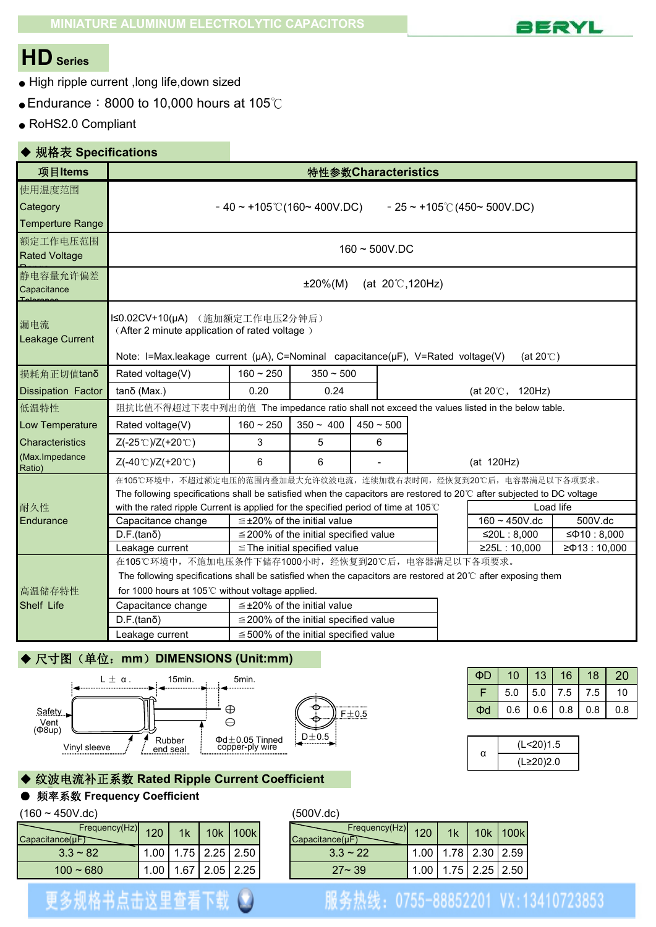

# **HDSeries**

- High ripple current ,long life,down sized
- Endurance:8000 to 10,000 hours at 105℃
- RoHS2.0 Compliant

## ◆ 规格表 **Specifications**

| 项目Items                                       |                                                                                                                                                                                                              |                                                                                                                                                                                          | 特性参数Characteristics                        |  |             |  |  |                                        |                  |  |  |
|-----------------------------------------------|--------------------------------------------------------------------------------------------------------------------------------------------------------------------------------------------------------------|------------------------------------------------------------------------------------------------------------------------------------------------------------------------------------------|--------------------------------------------|--|-------------|--|--|----------------------------------------|------------------|--|--|
| 使用温度范围<br>Category<br><b>Temperture Range</b> |                                                                                                                                                                                                              | $-40 \sim +105$ °C(160~400V.DC)                                                                                                                                                          |                                            |  |             |  |  | $-25 \sim +105^{\circ}$ (450~ 500V.DC) |                  |  |  |
| 额定工作电压范围<br><b>Rated Voltage</b>              |                                                                                                                                                                                                              | $160 - 500V$ .DC                                                                                                                                                                         |                                            |  |             |  |  |                                        |                  |  |  |
| 静电容量允许偏差<br>Capacitance                       |                                                                                                                                                                                                              | $±20\%(M)$<br>(at $20^{\circ}$ C, 120Hz)                                                                                                                                                 |                                            |  |             |  |  |                                        |                  |  |  |
| 漏电流<br>Leakage Current                        |                                                                                                                                                                                                              | I≤0.02CV+10(µA) (施加额定工作电压2分钟后)<br>(After 2 minute application of rated voltage)<br>Note: I=Max.leakage current (µA), C=Nominal capacitance(µF), V=Rated voltage(V)<br>(at $20^{\circ}$ ) |                                            |  |             |  |  |                                        |                  |  |  |
| 损耗角正切值tanδ                                    | Rated voltage(V)                                                                                                                                                                                             | $160 - 250$                                                                                                                                                                              | $350 - 500$                                |  |             |  |  |                                        |                  |  |  |
| <b>Dissipation Factor</b>                     | tanδ (Max.)                                                                                                                                                                                                  | 0.20                                                                                                                                                                                     | 0.24                                       |  |             |  |  | (at $20^{\circ}$ C, 120Hz)             |                  |  |  |
| 低温特性                                          | 阻抗比值不得超过下表中列出的值 The impedance ratio shall not exceed the values listed in the below table.                                                                                                                   |                                                                                                                                                                                          |                                            |  |             |  |  |                                        |                  |  |  |
| Low Temperature                               | Rated voltage(V)                                                                                                                                                                                             | $160 - 250$                                                                                                                                                                              | $350 - 400$                                |  | $450 - 500$ |  |  |                                        |                  |  |  |
| <b>Characteristics</b>                        | Z(-25℃)/Z(+20℃)                                                                                                                                                                                              | 3                                                                                                                                                                                        | 5                                          |  | 6           |  |  |                                        |                  |  |  |
| (Max.Impedance<br>Ratio)                      | Z(-40℃)/Z(+20℃)                                                                                                                                                                                              | 6                                                                                                                                                                                        | 6                                          |  |             |  |  | (at 120Hz)                             |                  |  |  |
|                                               | 在105℃环境中,不超过额定电压的范围内叠加最大允许纹波电流,连续加载右表时间,经恢复到20℃后,电容器满足以下各项要求。                                                                                                                                                |                                                                                                                                                                                          |                                            |  |             |  |  |                                        |                  |  |  |
| 耐久性                                           | The following specifications shall be satisfied when the capacitors are restored to 20°C after subjected to DC voltage<br>with the rated ripple Current is applied for the specified period of time at 105°C |                                                                                                                                                                                          |                                            |  |             |  |  |                                        | Load life        |  |  |
| Endurance                                     | Capacitance change                                                                                                                                                                                           |                                                                                                                                                                                          | $\leq$ ±20% of the initial value           |  |             |  |  | $160 - 450V$ .dc                       | 500V.dc          |  |  |
|                                               | $D.F.(tan\delta)$                                                                                                                                                                                            |                                                                                                                                                                                          | $\leq$ 200% of the initial specified value |  |             |  |  | ≤20L: $8,000$                          | $≤$ Φ10 : 8,000  |  |  |
|                                               | Leakage current                                                                                                                                                                                              |                                                                                                                                                                                          | $\le$ The initial specified value          |  |             |  |  | ≥25L : 10,000                          | $≥$ Φ13 : 10,000 |  |  |
|                                               | 在105℃环境中,不施加电压条件下储存1000小时,经恢复到20℃后,电容器满足以下各项要求。                                                                                                                                                              |                                                                                                                                                                                          |                                            |  |             |  |  |                                        |                  |  |  |
|                                               | The following specifications shall be satisfied when the capacitors are restored at $20^{\circ}$ C after exposing them                                                                                       |                                                                                                                                                                                          |                                            |  |             |  |  |                                        |                  |  |  |
| 高温储存特性                                        | for 1000 hours at 105℃ without voltage applied.                                                                                                                                                              |                                                                                                                                                                                          |                                            |  |             |  |  |                                        |                  |  |  |
| Shelf Life                                    | Capacitance change                                                                                                                                                                                           |                                                                                                                                                                                          | $\leq$ ±20% of the initial value           |  |             |  |  |                                        |                  |  |  |
|                                               | $D.F.(tan\delta)$                                                                                                                                                                                            |                                                                                                                                                                                          | $\leq$ 200% of the initial specified value |  |             |  |  |                                        |                  |  |  |
|                                               | Leakage current                                                                                                                                                                                              |                                                                                                                                                                                          | $\leq$ 500% of the initial specified value |  |             |  |  |                                        |                  |  |  |

## ◆ 尺寸图(单位:**mm**)**DIMENSIONS (Unit:mm)**



| ФD | 10  |           | $\vert$ 13 $\vert$ 16 | 18  | 20  |
|----|-----|-----------|-----------------------|-----|-----|
|    | 5.0 |           | $5.0$ 7.5             | 7.5 | 10  |
| Φd |     | $0.6$ 0.6 | 0.8                   | 0.8 | 0.8 |

## ◆ 纹波电流补正系数 **Rated Ripple Current Coefficient**

## ● 频率系数 **Frequency Coefficient**

## $(160 \sim 450V \cdot dc)$  (500V $\cdot dc$ )

| Frequency(Hz)<br>$Capacitance(\muFT)$ | 120  | 1 <sub>k</sub> | 10k          | 100k | Frequency(Hz)<br>Capacitance(uF) | 120         | 1k | 10k            | 100k |
|---------------------------------------|------|----------------|--------------|------|----------------------------------|-------------|----|----------------|------|
| $3.3 \sim 82$                         | .00. |                | $1.75$ 2.25  | 2.50 | $3.3 \sim 22$                    | $.00$ !     |    | 1.78 2.30 2.59 |      |
| $100 - 680$                           | .00  |                | $.67$   2.05 | 2.25 | $27 - 39$                        | $.00 \cdot$ |    | 1.75 2.25 2.50 |      |

更多规格书点击这里查看下载(2)

| Frequency(Hz)<br>nce(µF | 120              | 1 <sub>k</sub> | 10k        | 100k | Frequency(Hz)<br>Capacitance(uF) | 120               | 1 <sub>k</sub> | 10k                | 100k |
|-------------------------|------------------|----------------|------------|------|----------------------------------|-------------------|----------------|--------------------|------|
| $3.3 \sim 82$           | $\overline{00}$  |                | $.75$ 2.25 | 2.50 | $3.3 \sim 22$                    | 1.00              |                | 1.78 2.30 2.59     |      |
| $100 - 680$             | .00 <sub>1</sub> | 1.67           | 2.05       | 2.25 | $27 - 39$                        | 1.00 <sub>1</sub> |                | 1.75   2.25   2.50 |      |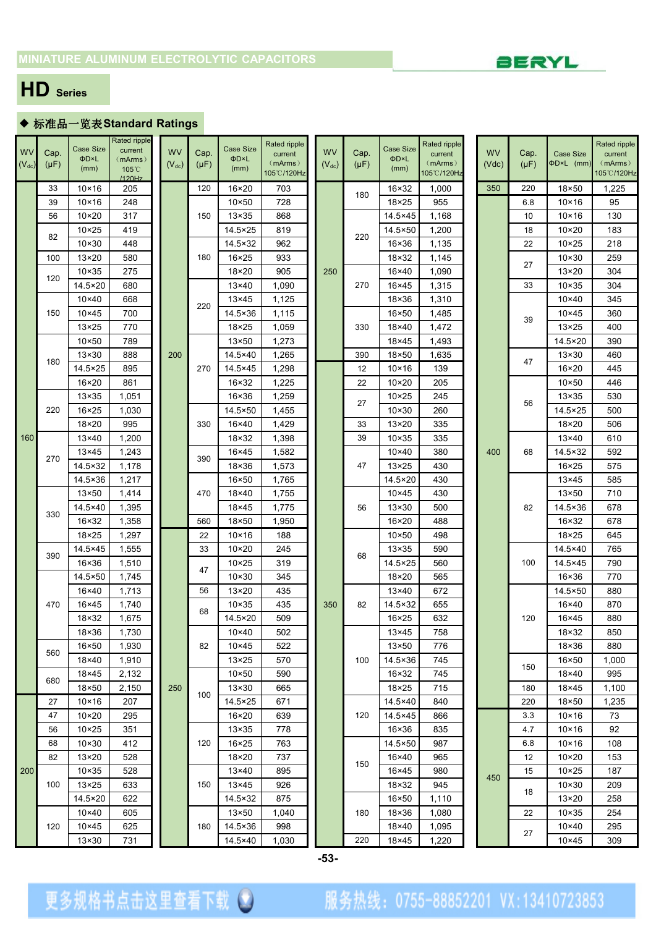

# **HD Series**

## ◆ 标准品一览表**Standard Ratings**

|            |           |                          | Rated ripple               |            |           |                          | Rated ripple   |            |           |                               | Rated ripple |           |           |                         | Rated ripple |
|------------|-----------|--------------------------|----------------------------|------------|-----------|--------------------------|----------------|------------|-----------|-------------------------------|--------------|-----------|-----------|-------------------------|--------------|
| <b>WV</b>  | Cap.      | <b>Case Size</b><br>ΦD×L | current                    | <b>WV</b>  | Cap.      | <b>Case Size</b><br>ΦD×L | current        | <b>WV</b>  | Cap.      | <b>Case Size</b><br>ΦD×L      | current      | <b>WV</b> | Cap.      | <b>Case Size</b>        | current      |
| $(V_{dc})$ | $(\mu F)$ | (mm)                     | (mArms)<br>$105^{\circ}$ C | $(V_{dc})$ | $(\mu F)$ | (mm)                     | (mArms)        | $(V_{dc})$ | $(\mu F)$ | (mm)                          | (mArms)      | (Vdc)     | $(\mu F)$ | ΦD×L (mm)               | (mArms)      |
|            |           |                          | 1120Hz                     |            |           |                          | 105°C/120Hz    |            |           |                               | 105°C/120Hz  |           |           |                         | 105°C/120Hz  |
|            | 33        | $10\times 16$            | 205                        |            | 120       | 16×20                    | 703            |            | 180       | 16×32                         | 1,000        | 350       | 220       | 18×50                   | 1,225        |
|            | 39        | $10\times 16$            | 248                        |            |           | $10\times 50$            | 728            |            |           | 18×25                         | 955          |           | 6.8       | $10 \times 16$          | 95           |
|            | 56        | $10 \times 20$           | 317                        |            | 150       | $13\times35$             | 868            |            |           | 14.5×45                       | 1,168        |           | 10        | $10 \times 16$          | 130          |
|            | 82        | $10 \times 25$           | 419                        |            |           | 14.5×25                  | 819            |            | 220       | 14.5×50                       | 1,200        |           | 18        | $10\times20$            | 183          |
|            |           | $10 \times 30$           | 448                        |            |           | 14.5×32                  | 962            |            |           | 16×36                         | 1,135        |           | 22        | $10 \times 25$          | 218          |
|            | 100       | $13 \times 20$           | 580                        |            | 180       | $16 \times 25$           | 933            |            |           | 18×32                         | 1,145        |           | 27        | $10 \times 30$          | 259          |
|            | 120       | $10 \times 35$           | 275                        |            |           | 18×20                    | 905            | 250        |           | 16×40                         | 1,090        |           |           | 13×20                   | 304          |
|            |           | 14.5×20                  | 680                        |            |           | $13\times40$             | 1,090          |            | 270       | 16×45                         | 1,315        |           | 33        | $10 \times 35$          | 304          |
|            |           | $10\times 40$            | 668                        |            | 220       | $13\times 45$            | 1,125          |            |           | 18×36                         | 1,310        |           |           | $10\times 40$           | 345          |
|            | 150       | $10\times 45$            | 700                        |            |           | 14.5×36                  | 1,115          |            |           | 16×50                         | 1,485        |           | 39        | $10\times 45$           | 360          |
|            |           | $13\times25$             | 770                        |            |           | $18\times25$             | 1,059          |            | 330       | 18×40                         | 1,472        |           |           | $13\times25$            | 400          |
|            |           | $10\times 50$            | 789                        |            |           | $13\times50$             | 1,273          |            |           | 18×45                         | 1,493        |           |           | 14.5×20                 | 390          |
|            | 180       | $13\times30$             | 888                        | 200        |           | 14.5×40                  | 1,265          |            | 390       | 18×50                         | 1,635        |           | 47        | $13 \times 30$          | 460          |
|            |           | 14.5×25                  | 895                        |            | 270       | 14.5×45                  | 1,298          |            | 12        | $10\times 16$                 | 139          |           |           | 16×20                   | 445          |
|            |           | 16×20                    | 861                        |            |           | $16 \times 32$           | 1,225          |            | 22        | $10 \times 20$                | 205          |           |           | $10\times 50$           | 446          |
|            |           | $13\times35$             | 1,051                      |            |           | $16 \times 36$           | 1,259          |            | 27        | $10 \times 25$                | 245          |           | 56        | $13\times35$            | 530          |
|            | 220       | $16 \times 25$           | 1,030                      |            |           | 14.5×50                  | 1,455          |            |           | $10 \times 30$                | 260          |           |           | 14.5×25                 | 500          |
| 160        |           | 18×20                    | 995                        |            | 330       | 16×40<br>18×32           | 1,429          |            | 33<br>39  | 13×20                         | 335<br>335   |           |           | 18×20                   | 506<br>610   |
|            |           | 13×40<br>13×45           | 1,200<br>1,243             |            |           | 16×45                    | 1,398<br>1,582 |            |           | $10\times35$<br>$10\times 40$ | 380          | 400       | 68        | $13\times40$<br>14.5×32 | 592          |
|            | 270       | 14.5×32                  | 1,178                      |            | 390       | 18×36                    | 1,573          |            | 47        | $13\times25$                  | 430          |           |           | $16 \times 25$          | 575          |
|            |           | 14.5×36                  | 1,217                      |            |           | 16×50                    | 1,765          |            |           | 14.5×20                       | 430          |           |           | $13\times 45$           | 585          |
|            |           | $13\times50$             | 1,414                      |            | 470       | 18×40                    | 1,755          |            |           | $10\times 45$                 | 430          |           |           | $13 \times 50$          | 710          |
|            |           | 14.5×40                  | 1,395                      |            |           | 18×45                    | 1,775          |            | 56        | 13×30                         | 500          |           | 82        | 14.5×36                 | 678          |
|            | 330       | 16×32                    | 1,358                      |            | 560       | 18×50                    | 1,950          |            |           | 16×20                         | 488          |           |           | 16×32                   | 678          |
|            |           | 18×25                    | 1,297                      |            | 22        | $10 \times 16$           | 188            |            |           | $10\times 50$                 | 498          |           |           | 18×25                   | 645          |
|            |           | 14.5×45                  | 1,555                      |            | 33        | $10\times20$             | 245            |            |           | $13\times35$                  | 590          |           |           | 14.5×40                 | 765          |
|            | 390       | 16×36                    | 1,510                      |            |           | $10\times25$             | 319            |            | 68        | 14.5×25                       | 560          |           | 100       | 14.5×45                 | 790          |
|            |           | 14.5×50                  | 1,745                      |            | 47        | $10 \times 30$           | 345            |            |           | 18×20                         | 565          |           |           | $16 \times 36$          | 770          |
|            |           | 16×40                    | 1,713                      |            | 56        | $13\times20$             | 435            |            |           | 13×40                         | 672          |           |           | 14.5×50                 | 880          |
|            | 470       | 16×45                    | 1,740                      |            |           | $10 \times 35$           | 435            | 350        | 82        | 14.5×32                       | 655          |           |           | 16×40                   | 870          |
|            |           | 18×32                    | 1,675                      |            | 68        | 14.5×20                  | 509            |            |           | $16 \times 25$                | 632          |           | 120       | 16×45                   | 880          |
|            |           | 18×36                    | 1,730                      |            |           | $10\times 40$            | 502            |            |           | $13\times 45$                 | 758          |           |           | 18×32                   | 850          |
|            |           | 16×50                    | 1,930                      |            | 82        | $10\times 45$            | 522            |            |           | 13×50                         | 776          |           |           | 18×36                   | 880          |
|            | 560       | $18\times 40$            | 1,910                      |            |           | $13\times25$             | 570            |            | 100       | 14.5×36                       | 745          |           |           | 16×50                   | 1,000        |
|            |           | 18×45                    | 2,132                      |            |           | $10\times 50$            | 590            |            |           | 16×32                         | 745          |           | 150       | 18×40                   | 995          |
|            | 680       | $18\times50$             | 2,150                      | 250        |           | $13\times30$             | 665            |            |           | 18×25                         | 715          |           | 180       | 18×45                   | 1,100        |
|            | 27        | $10\times 16$            | 207                        |            | 100       | 14.5×25                  | 671            |            |           | 14.5×40                       | 840          |           | 220       | 18×50                   | 1,235        |
|            | 47        | $10\times20$             | 295                        |            |           | 16×20                    | 639            |            | 120       | 14.5×45                       | 866          |           | 3.3       | $10\times 16$           | 73           |
|            | 56        | $10\times25$             | 351                        |            |           | $13\times35$             | 778            |            |           | $16 \times 36$                | 835          |           | 4.7       | $10 \times 16$          | 92           |
|            | 68        | $10 \times 30$           | 412                        |            | 120       | $16 \times 25$           | 763            |            |           | 14.5×50                       | 987          |           | 6.8       | $10 \times 16$          | 108          |
|            | 82        | 13×20                    | 528                        |            |           | 18×20                    | 737            |            | 150       | 16×40                         | 965          |           | 12        | $10 \times 20$          | 153          |
| 200        |           | $10\times35$             | 528                        |            |           | $13\times40$             | 895            |            |           | 16×45                         | 980          | 450       | 15        | $10 \times 25$          | 187          |
|            | 100       | $13\times25$             | 633                        |            | 150       | $13\times 45$            | 926            |            |           | 18×32                         | 945          |           | 18        | $10 \times 30$          | 209          |
|            |           | 14.5×20                  | 622                        |            |           | 14.5×32                  | 875            |            |           | 16×50                         | 1,110        |           |           | $13 \times 20$          | 258          |
|            |           | $10\times 40$            | 605                        |            |           | $13\times50$             | 1,040          |            | 180       | 18×36                         | 1,080        |           | 22        | $10 \times 35$          | 254          |
|            | 120       | $10\times 45$            | 625                        |            | 180       | 14.5×36                  | 998            |            |           | 18×40                         | 1,095        |           | 27        | $10\times 40$           | 295          |
|            |           | $13 \times 30$           | 731                        |            |           | 14.5×40                  | 1,030          |            | 220       | 18×45                         | 1,220        |           |           | $10\times 45$           | 309          |

| ap.<br>μF) | Case Size<br>ΦD×L<br>(mm) | Rated ripple<br>current<br>(mArms)<br>105°C/120Hz | <b>WV</b><br>(Vdc) | Cap.<br>$(\mu F)$ | <b>Case Size</b><br>ΦD×L (mm) | Rated ripple<br>current<br>(mArms)<br>105°C/120Hz |  |
|------------|---------------------------|---------------------------------------------------|--------------------|-------------------|-------------------------------|---------------------------------------------------|--|
| 180        | 16×32                     | 1,000                                             | 350                | 220               | $18\times50$                  | 1,225                                             |  |
|            | 18×25                     | 955                                               |                    | 6.8               | $10\times 16$                 | 95                                                |  |
|            | 14.5×45                   | 1,168                                             |                    | 10                | $10\times 16$                 | 130                                               |  |
| 220        | $14.5 \times 50$          | 1,200                                             |                    | 18                | $10\times20$                  | 183                                               |  |
|            | 16×36                     | 1,135                                             |                    | 22                | $10\times25$                  | 218                                               |  |
|            | 18×32                     | 1,145                                             |                    | 27                | $10 \times 30$                | 259                                               |  |
|            | 16×40                     | 1,090                                             |                    |                   | $13\times20$                  | 304                                               |  |
| 270        | 16×45                     | 1,315                                             |                    | 33                | $10 \times 35$                | 304                                               |  |
|            | 18×36                     | 1,310                                             |                    |                   | $10\times 40$                 | 345                                               |  |
|            | 16×50                     | 1,485                                             |                    | 39                | $10\times 45$                 | 360                                               |  |
| 330        | 18×40                     | 1,472                                             |                    |                   | 13×25                         | 400                                               |  |
|            | 18×45                     | 1,493                                             |                    |                   | 14.5×20                       | 390                                               |  |
| 390        | 18×50                     | 1,635                                             |                    | 47                | $13\times30$                  | 460                                               |  |
| 12         | $10\times 16$             | 139                                               |                    |                   | $16\times20$                  | 445                                               |  |
| 22         | 10×20                     | 205                                               |                    |                   | $10\times 50$                 | 446                                               |  |
| 27         | $10 \times 25$            | 245                                               |                    | 56                | $13\times35$                  | 530                                               |  |
|            | 10×30                     | 260                                               |                    |                   | 14.5×25                       | 500                                               |  |
| 33         | 13×20                     | 335                                               |                    |                   | $18\times20$                  | 506                                               |  |
| 39         | 10×35                     | 335                                               |                    |                   | $13\times40$                  | 610                                               |  |
|            | $10\times 40$             | 380                                               | 400                | 68                | 14.5×32                       | 592                                               |  |
| 47         | $13\times25$              | 430                                               |                    |                   | $16 \times 25$                | 575                                               |  |
|            | 14.5×20                   | 430                                               |                    |                   | $13\times 45$                 | 585                                               |  |
|            | $10\times 45$             | 430                                               |                    |                   | $13 \times 50$                | 710                                               |  |
| 56         | 13×30                     | 500                                               |                    | 82                | 14.5×36                       | 678                                               |  |
|            | 16×20                     | 488                                               |                    |                   | 16×32                         | 678                                               |  |
|            | $10\times 50$             | 498                                               |                    |                   | $18\times25$                  | 645                                               |  |
| 68         | $13\times35$              | 590                                               |                    |                   | 14.5×40                       | 765                                               |  |
|            | $14.5 \times 25$          | 560                                               |                    | 100               | 14.5×45                       | 790                                               |  |
|            | 18×20                     | 565                                               |                    |                   | $16 \times 36$                | 770                                               |  |
|            | $13\times40$              | 672                                               |                    |                   | 14.5×50                       | 880                                               |  |
| 82         | 14.5×32                   | 655                                               |                    |                   | $16\times40$                  | 870                                               |  |
|            | 16×25                     | 632                                               |                    | 120               | $16\times 45$                 | 880                                               |  |
|            | $13\times 45$             | 758                                               |                    |                   | $18 \times 32$                | 850                                               |  |
|            | 13×50                     | 776                                               |                    |                   | 18×36                         | 880                                               |  |
| 100        | 14.5×36                   | 745                                               |                    | 150               | 16×50                         | 1,000                                             |  |
|            | 16×32                     | 745                                               |                    |                   | 18×40                         | 995                                               |  |
|            | $18 \times 25$            | 715                                               |                    | 180               | 18×45                         | 1,100                                             |  |
|            | 14.5×40                   | 840                                               |                    | 220               | 18×50                         | 1,235                                             |  |
| 120        | 14.5×45                   | 866                                               |                    | 3.3               | $10\times 16$                 | 73                                                |  |
|            | 16×36                     | 835                                               |                    | 4.7               | $10\times 16$                 | 92                                                |  |
|            | 14.5×50                   | 987                                               |                    | 6.8               | $10\times 16$                 | 108                                               |  |
| 150        | 16×40                     | 965                                               |                    | 12                | $10\times20$                  | 153                                               |  |
|            | 16×45                     | 980                                               | 450                | 15                | $10\times25$                  | 187                                               |  |
|            | 18×32                     | 945                                               |                    | 18                | $10 \times 30$                | 209                                               |  |
|            | 16×50                     | 1,110                                             |                    |                   | 13×20                         | 258                                               |  |
| 180        | 18×36                     | 1,080                                             |                    | 22                | $10\times35$                  | 254                                               |  |
|            | 18×40                     | 1,095                                             |                    | 27                | $10\times 40$                 | 295                                               |  |
| ንጋበ.       | $18\times 45$             | 1 2 2 0                                           |                    |                   | $10\times 45$                 | 309                                               |  |